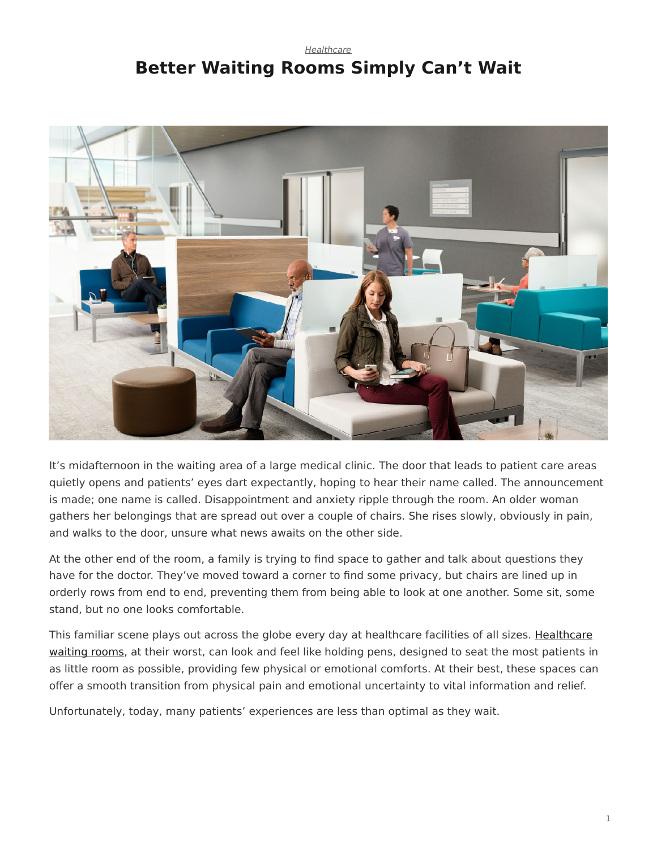## <span id="page-0-0"></span>*[Healthcare](https://www.steelcase.com/research/topics/healthcare/)* **Better Waiting Rooms Simply Can't Wait**



It's midafternoon in the waiting area of a large medical clinic. The door that leads to patient care areas quietly opens and patients' eyes dart expectantly, hoping to hear their name called. The announcement is made; one name is called. Disappointment and anxiety ripple through the room. An older woman gathers her belongings that are spread out over a couple of chairs. She rises slowly, obviously in pain, and walks to the door, unsure what news awaits on the other side.

At the other end of the room, a family is trying to find space to gather and talk about questions they have for the doctor. They've moved toward a corner to find some privacy, but chairs are lined up in orderly rows from end to end, preventing them from being able to look at one another. Some sit, some stand, but no one looks comfortable.

This familiar scene plays out across the globe every day at healthcare facilities of all sizes. [Healthcare](https://www.steelcase.com/spaces-inspiration/health-spaces-transition-waiting/) [waiting rooms,](https://www.steelcase.com/spaces-inspiration/health-spaces-transition-waiting/) at their worst, can look and feel like holding pens, designed to seat the most patients in as little room as possible, providing few physical or emotional comforts. At their best, these spaces can offer a smooth transition from physical pain and emotional uncertainty to vital information and relief.

Unfortunately, today, many patients' experiences are less than optimal as they wait.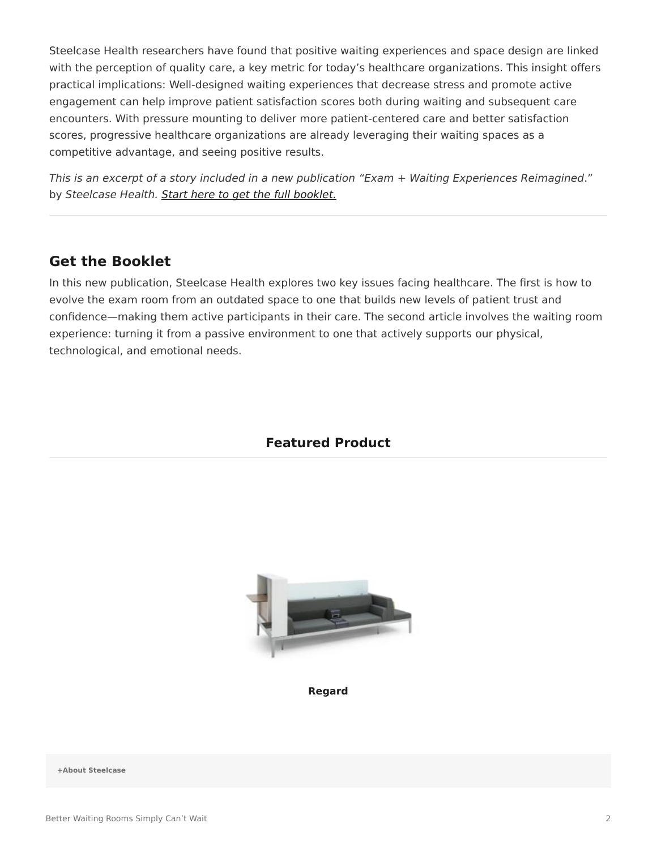Steelcase Health researchers have found that positive waiting experiences and space design are linked with the perception of quality care, a key metric for today's healthcare organizations. This insight offers practical implications: Well-designed waiting experiences that decrease stress and promote active engagement can help improve patient satisfaction scores both during waiting and subsequent care encounters. With pressure mounting to deliver more patient-centered care and better satisfaction scores, progressive healthcare organizations are already leveraging their waiting spaces as a competitive advantage, and seeing positive results.

*This is an excerpt of a story included in a new publication "Exam + Waiting Experiences Reimagined*." by *Steelcase Health. [Start here to get the full booklet.](http://info.steelcase.com/steelcase-health-special-edition-download?utm_source=Steelcase.com&utm_medium=BlogPost&utm_campaign=2016-NeoCon-Health)*

## **Get the Booklet**

In this new publication, Steelcase Health explores two key issues facing healthcare. The first is how to evolve the exam room from an outdated space to one that builds new levels of patient trust and confidence—making them active participants in their care. The second article involves the waiting room experience: turning it from a passive environment to one that actively supports our physical, technological, and emotional needs.

## **Featured Product**



**[Regard](https://www.steelcase.com/products/healthcare-seating/regard/)**